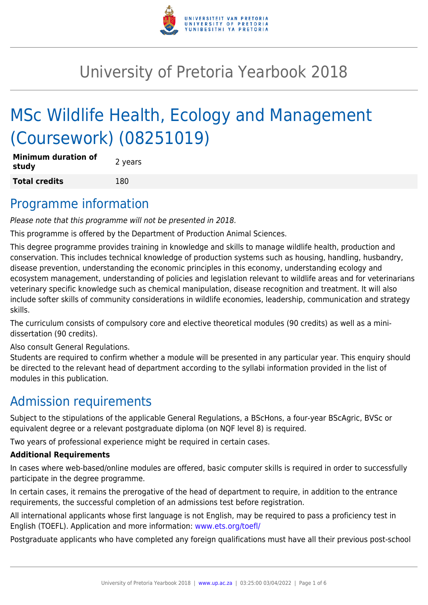

# University of Pretoria Yearbook 2018

# MSc Wildlife Health, Ecology and Management (Coursework) (08251019)

| <b>Minimum duration of</b><br>study | 2 years |
|-------------------------------------|---------|
| <b>Total credits</b>                | 180     |

### Programme information

Please note that this programme will not be presented in 2018.

This programme is offered by the Department of Production Animal Sciences.

This degree programme provides training in knowledge and skills to manage wildlife health, production and conservation. This includes technical knowledge of production systems such as housing, handling, husbandry, disease prevention, understanding the economic principles in this economy, understanding ecology and ecosystem management, understanding of policies and legislation relevant to wildlife areas and for veterinarians veterinary specific knowledge such as chemical manipulation, disease recognition and treatment. It will also include softer skills of community considerations in wildlife economies, leadership, communication and strategy skills.

The curriculum consists of compulsory core and elective theoretical modules (90 credits) as well as a minidissertation (90 credits).

Also consult General Regulations.

Students are required to confirm whether a module will be presented in any particular year. This enquiry should be directed to the relevant head of department according to the syllabi information provided in the list of modules in this publication.

# Admission requirements

Subject to the stipulations of the applicable General Regulations, a BScHons, a four-year BScAgric, BVSc or equivalent degree or a relevant postgraduate diploma (on NQF level 8) is required.

Two years of professional experience might be required in certain cases.

#### **Additional Requirements**

In cases where web-based/online modules are offered, basic computer skills is required in order to successfully participate in the degree programme.

In certain cases, it remains the prerogative of the head of department to require, in addition to the entrance requirements, the successful completion of an admissions test before registration.

All international applicants whose first language is not English, may be required to pass a proficiency test in English (TOEFL). Application and more information: [www.ets.org/toefl/](http://www.ets.org/toefl/)

Postgraduate applicants who have completed any foreign qualifications must have all their previous post-school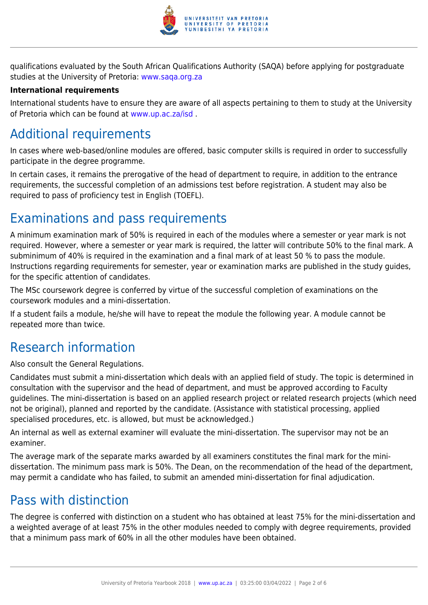

qualifications evaluated by the South African Qualifications Authority (SAQA) before applying for postgraduate studies at the University of Pretoria: [www.saqa.org.za](http://www.saqa.org.za)

#### **International requirements**

International students have to ensure they are aware of all aspects pertaining to them to study at the University of Pretoria which can be found at [www.up.ac.za/isd](http://www.up.ac.za/isd) .

# Additional requirements

In cases where web-based/online modules are offered, basic computer skills is required in order to successfully participate in the degree programme.

In certain cases, it remains the prerogative of the head of department to require, in addition to the entrance requirements, the successful completion of an admissions test before registration. A student may also be required to pass of proficiency test in English (TOEFL).

### Examinations and pass requirements

A minimum examination mark of 50% is required in each of the modules where a semester or year mark is not required. However, where a semester or year mark is required, the latter will contribute 50% to the final mark. A subminimum of 40% is required in the examination and a final mark of at least 50 % to pass the module. Instructions regarding requirements for semester, year or examination marks are published in the study guides, for the specific attention of candidates.

The MSc coursework degree is conferred by virtue of the successful completion of examinations on the coursework modules and a mini-dissertation.

If a student fails a module, he/she will have to repeat the module the following year. A module cannot be repeated more than twice.

# Research information

Also consult the General Regulations.

Candidates must submit a mini-dissertation which deals with an applied field of study. The topic is determined in consultation with the supervisor and the head of department, and must be approved according to Faculty guidelines. The mini-dissertation is based on an applied research project or related research projects (which need not be original), planned and reported by the candidate. (Assistance with statistical processing, applied specialised procedures, etc. is allowed, but must be acknowledged.)

An internal as well as external examiner will evaluate the mini-dissertation. The supervisor may not be an examiner.

The average mark of the separate marks awarded by all examiners constitutes the final mark for the minidissertation. The minimum pass mark is 50%. The Dean, on the recommendation of the head of the department, may permit a candidate who has failed, to submit an amended mini-dissertation for final adjudication.

# Pass with distinction

The degree is conferred with distinction on a student who has obtained at least 75% for the mini-dissertation and a weighted average of at least 75% in the other modules needed to comply with degree requirements, provided that a minimum pass mark of 60% in all the other modules have been obtained.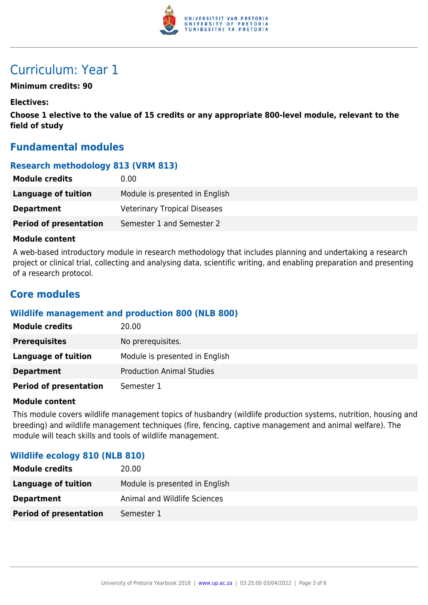

# Curriculum: Year 1

#### **Minimum credits: 90**

#### **Electives:**

**Choose 1 elective to the value of 15 credits or any appropriate 800-level module, relevant to the field of study**

### **Fundamental modules**

#### **Research methodology 813 (VRM 813)**

| <b>Module credits</b>         | 0.00                                |
|-------------------------------|-------------------------------------|
| <b>Language of tuition</b>    | Module is presented in English      |
| <b>Department</b>             | <b>Veterinary Tropical Diseases</b> |
| <b>Period of presentation</b> | Semester 1 and Semester 2           |

#### **Module content**

A web-based introductory module in research methodology that includes planning and undertaking a research project or clinical trial, collecting and analysing data, scientific writing, and enabling preparation and presenting of a research protocol.

### **Core modules**

#### **Wildlife management and production 800 (NLB 800)**

| <b>Module credits</b>         | 20.00                            |
|-------------------------------|----------------------------------|
| <b>Prerequisites</b>          | No prerequisites.                |
| Language of tuition           | Module is presented in English   |
| <b>Department</b>             | <b>Production Animal Studies</b> |
| <b>Period of presentation</b> | Semester 1                       |

#### **Module content**

This module covers wildlife management topics of husbandry (wildlife production systems, nutrition, housing and breeding) and wildlife management techniques (fire, fencing, captive management and animal welfare). The module will teach skills and tools of wildlife management.

#### **Wildlife ecology 810 (NLB 810)**

| <b>Module credits</b>         | 20.00                          |
|-------------------------------|--------------------------------|
| Language of tuition           | Module is presented in English |
| <b>Department</b>             | Animal and Wildlife Sciences   |
| <b>Period of presentation</b> | Semester 1                     |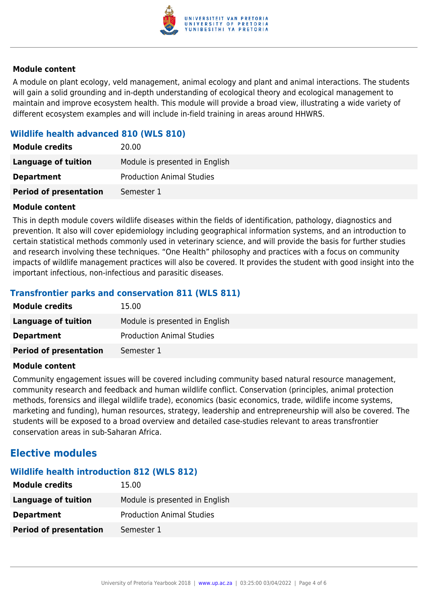

#### **Module content**

A module on plant ecology, veld management, animal ecology and plant and animal interactions. The students will gain a solid grounding and in-depth understanding of ecological theory and ecological management to maintain and improve ecosystem health. This module will provide a broad view, illustrating a wide variety of different ecosystem examples and will include in-field training in areas around HHWRS.

### **Wildlife health advanced 810 (WLS 810)**

| <b>Module credits</b>         | 20.00                            |
|-------------------------------|----------------------------------|
| <b>Language of tuition</b>    | Module is presented in English   |
| <b>Department</b>             | <b>Production Animal Studies</b> |
| <b>Period of presentation</b> | Semester 1                       |

#### **Module content**

This in depth module covers wildlife diseases within the fields of identification, pathology, diagnostics and prevention. It also will cover epidemiology including geographical information systems, and an introduction to certain statistical methods commonly used in veterinary science, and will provide the basis for further studies and research involving these techniques. "One Health" philosophy and practices with a focus on community impacts of wildlife management practices will also be covered. It provides the student with good insight into the important infectious, non-infectious and parasitic diseases.

#### **Transfrontier parks and conservation 811 (WLS 811)**

| <b>Module credits</b>         | 15.00                            |
|-------------------------------|----------------------------------|
| Language of tuition           | Module is presented in English   |
| <b>Department</b>             | <b>Production Animal Studies</b> |
| <b>Period of presentation</b> | Semester 1                       |

#### **Module content**

Community engagement issues will be covered including community based natural resource management, community research and feedback and human wildlife conflict. Conservation (principles, animal protection methods, forensics and illegal wildlife trade), economics (basic economics, trade, wildlife income systems, marketing and funding), human resources, strategy, leadership and entrepreneurship will also be covered. The students will be exposed to a broad overview and detailed case-studies relevant to areas transfrontier conservation areas in sub-Saharan Africa.

### **Elective modules**

#### **Wildlife health introduction 812 (WLS 812)**

| <b>Module credits</b>         | 15.00                            |
|-------------------------------|----------------------------------|
| Language of tuition           | Module is presented in English   |
| <b>Department</b>             | <b>Production Animal Studies</b> |
| <b>Period of presentation</b> | Semester 1                       |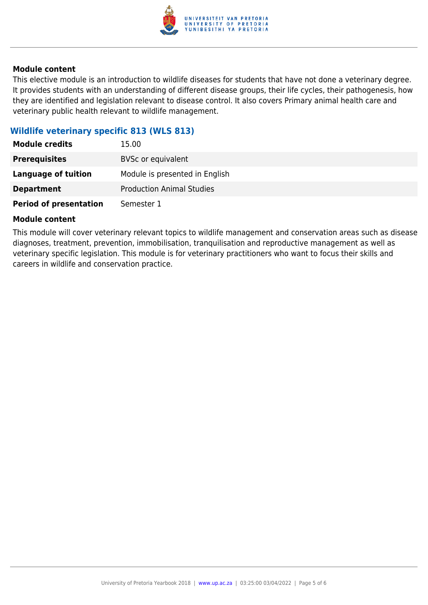

#### **Module content**

This elective module is an introduction to wildlife diseases for students that have not done a veterinary degree. It provides students with an understanding of different disease groups, their life cycles, their pathogenesis, how they are identified and legislation relevant to disease control. It also covers Primary animal health care and veterinary public health relevant to wildlife management.

#### **Wildlife veterinary specific 813 (WLS 813)**

| <b>Module credits</b>         | 15.00                            |
|-------------------------------|----------------------------------|
| <b>Prerequisites</b>          | <b>BVSc or equivalent</b>        |
| <b>Language of tuition</b>    | Module is presented in English   |
| <b>Department</b>             | <b>Production Animal Studies</b> |
| <b>Period of presentation</b> | Semester 1                       |

#### **Module content**

This module will cover veterinary relevant topics to wildlife management and conservation areas such as disease diagnoses, treatment, prevention, immobilisation, tranquilisation and reproductive management as well as veterinary specific legislation. This module is for veterinary practitioners who want to focus their skills and careers in wildlife and conservation practice.